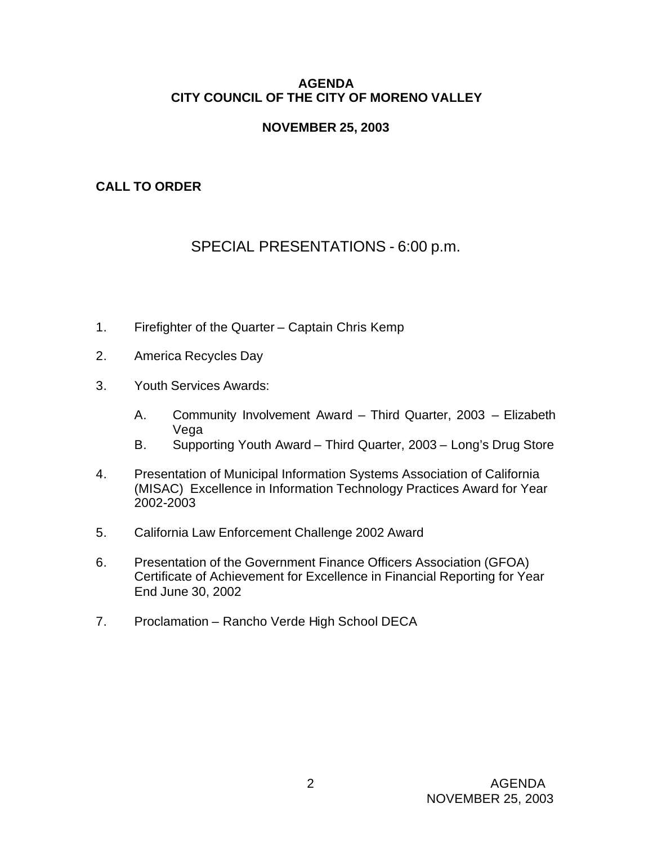### **AGENDA CITY COUNCIL OF THE CITY OF MORENO VALLEY**

## **NOVEMBER 25, 2003**

# **CALL TO ORDER**

# SPECIAL PRESENTATIONS - 6:00 p.m.

- 1. Firefighter of the Quarter Captain Chris Kemp
- 2. America Recycles Day
- 3. Youth Services Awards:
	- A. Community Involvement Award Third Quarter, 2003 Elizabeth Vega
	- B. Supporting Youth Award Third Quarter, 2003 Long's Drug Store
- 4. Presentation of Municipal Information Systems Association of California (MISAC) Excellence in Information Technology Practices Award for Year 2002-2003
- 5. California Law Enforcement Challenge 2002 Award
- 6. Presentation of the Government Finance Officers Association (GFOA) Certificate of Achievement for Excellence in Financial Reporting for Year End June 30, 2002
- 7. Proclamation Rancho Verde High School DECA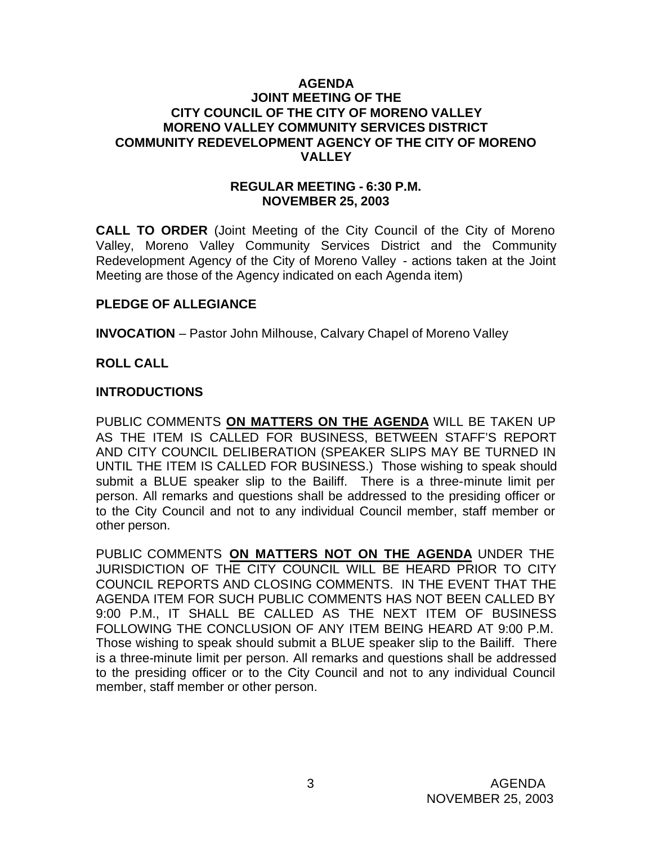#### **AGENDA JOINT MEETING OF THE CITY COUNCIL OF THE CITY OF MORENO VALLEY MORENO VALLEY COMMUNITY SERVICES DISTRICT COMMUNITY REDEVELOPMENT AGENCY OF THE CITY OF MORENO VALLEY**

#### **REGULAR MEETING - 6:30 P.M. NOVEMBER 25, 2003**

**CALL TO ORDER** (Joint Meeting of the City Council of the City of Moreno Valley, Moreno Valley Community Services District and the Community Redevelopment Agency of the City of Moreno Valley - actions taken at the Joint Meeting are those of the Agency indicated on each Agenda item)

### **PLEDGE OF ALLEGIANCE**

**INVOCATION** – Pastor John Milhouse, Calvary Chapel of Moreno Valley

#### **ROLL CALL**

#### **INTRODUCTIONS**

PUBLIC COMMENTS **ON MATTERS ON THE AGENDA** WILL BE TAKEN UP AS THE ITEM IS CALLED FOR BUSINESS, BETWEEN STAFF'S REPORT AND CITY COUNCIL DELIBERATION (SPEAKER SLIPS MAY BE TURNED IN UNTIL THE ITEM IS CALLED FOR BUSINESS.) Those wishing to speak should submit a BLUE speaker slip to the Bailiff. There is a three-minute limit per person. All remarks and questions shall be addressed to the presiding officer or to the City Council and not to any individual Council member, staff member or other person.

PUBLIC COMMENTS **ON MATTERS NOT ON THE AGENDA** UNDER THE JURISDICTION OF THE CITY COUNCIL WILL BE HEARD PRIOR TO CITY COUNCIL REPORTS AND CLOSING COMMENTS. IN THE EVENT THAT THE AGENDA ITEM FOR SUCH PUBLIC COMMENTS HAS NOT BEEN CALLED BY 9:00 P.M., IT SHALL BE CALLED AS THE NEXT ITEM OF BUSINESS FOLLOWING THE CONCLUSION OF ANY ITEM BEING HEARD AT 9:00 P.M. Those wishing to speak should submit a BLUE speaker slip to the Bailiff. There is a three-minute limit per person. All remarks and questions shall be addressed to the presiding officer or to the City Council and not to any individual Council member, staff member or other person.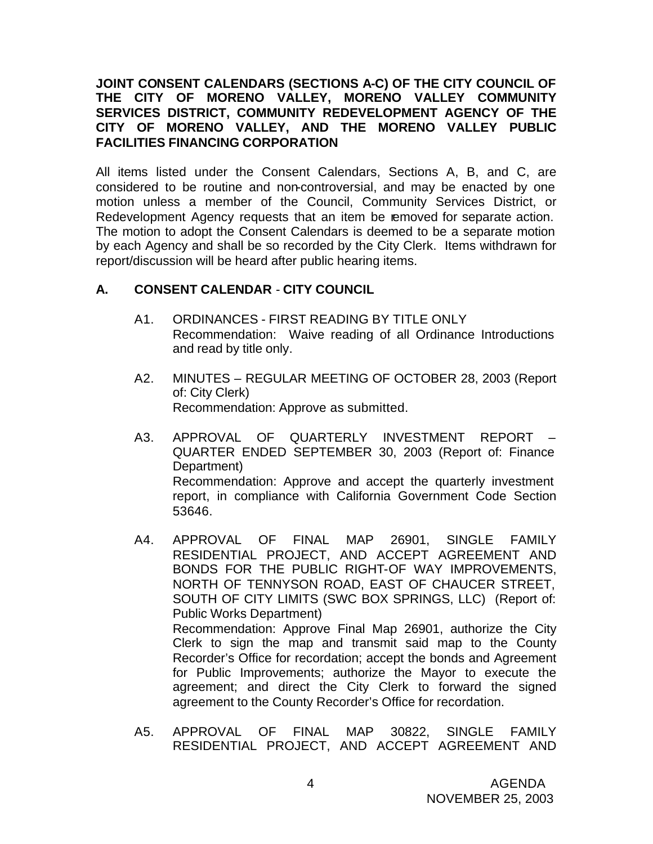### **JOINT CONSENT CALENDARS (SECTIONS A-C) OF THE CITY COUNCIL OF THE CITY OF MORENO VALLEY, MORENO VALLEY COMMUNITY SERVICES DISTRICT, COMMUNITY REDEVELOPMENT AGENCY OF THE CITY OF MORENO VALLEY, AND THE MORENO VALLEY PUBLIC FACILITIES FINANCING CORPORATION**

All items listed under the Consent Calendars, Sections A, B, and C, are considered to be routine and non-controversial, and may be enacted by one motion unless a member of the Council, Community Services District, or Redevelopment Agency requests that an item be removed for separate action. The motion to adopt the Consent Calendars is deemed to be a separate motion by each Agency and shall be so recorded by the City Clerk. Items withdrawn for report/discussion will be heard after public hearing items.

### **A. CONSENT CALENDAR** - **CITY COUNCIL**

- A1. ORDINANCES FIRST READING BY TITLE ONLY Recommendation: Waive reading of all Ordinance Introductions and read by title only.
- A2. MINUTES REGULAR MEETING OF OCTOBER 28, 2003 (Report of: City Clerk) Recommendation: Approve as submitted.
- A3. APPROVAL OF QUARTERLY INVESTMENT REPORT QUARTER ENDED SEPTEMBER 30, 2003 (Report of: Finance Department) Recommendation: Approve and accept the quarterly investment report, in compliance with California Government Code Section 53646.
- A4. APPROVAL OF FINAL MAP 26901, SINGLE FAMILY RESIDENTIAL PROJECT, AND ACCEPT AGREEMENT AND BONDS FOR THE PUBLIC RIGHT-OF WAY IMPROVEMENTS, NORTH OF TENNYSON ROAD, EAST OF CHAUCER STREET, SOUTH OF CITY LIMITS (SWC BOX SPRINGS, LLC) (Report of: Public Works Department) Recommendation: Approve Final Map 26901, authorize the City Clerk to sign the map and transmit said map to the County Recorder's Office for recordation; accept the bonds and Agreement for Public Improvements; authorize the Mayor to execute the agreement; and direct the City Clerk to forward the signed agreement to the County Recorder's Office for recordation.
- A5. APPROVAL OF FINAL MAP 30822, SINGLE FAMILY RESIDENTIAL PROJECT, AND ACCEPT AGREEMENT AND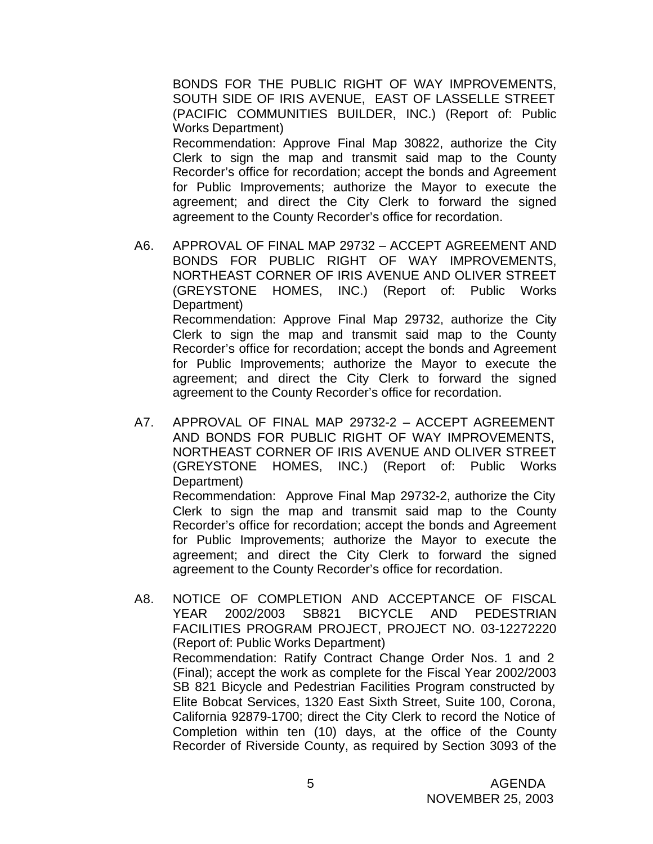BONDS FOR THE PUBLIC RIGHT OF WAY IMPROVEMENTS, SOUTH SIDE OF IRIS AVENUE, EAST OF LASSELLE STREET (PACIFIC COMMUNITIES BUILDER, INC.) (Report of: Public Works Department) Recommendation: Approve Final Map 30822, authorize the City

Clerk to sign the map and transmit said map to the County Recorder's office for recordation; accept the bonds and Agreement for Public Improvements; authorize the Mayor to execute the agreement; and direct the City Clerk to forward the signed agreement to the County Recorder's office for recordation.

- A6. APPROVAL OF FINAL MAP 29732 ACCEPT AGREEMENT AND BONDS FOR PUBLIC RIGHT OF WAY IMPROVEMENTS, NORTHEAST CORNER OF IRIS AVENUE AND OLIVER STREET (GREYSTONE HOMES, INC.) (Report of: Public Works Department) Recommendation: Approve Final Map 29732, authorize the City Clerk to sign the map and transmit said map to the County Recorder's office for recordation; accept the bonds and Agreement for Public Improvements; authorize the Mayor to execute the agreement; and direct the City Clerk to forward the signed agreement to the County Recorder's office for recordation.
- A7. APPROVAL OF FINAL MAP 29732-2 ACCEPT AGREEMENT AND BONDS FOR PUBLIC RIGHT OF WAY IMPROVEMENTS, NORTHEAST CORNER OF IRIS AVENUE AND OLIVER STREET (GREYSTONE HOMES, INC.) (Report of: Public Works Department) Recommendation: Approve Final Map 29732-2, authorize the City Clerk to sign the map and transmit said map to the County Recorder's office for recordation; accept the bonds and Agreement for Public Improvements; authorize the Mayor to execute the agreement; and direct the City Clerk to forward the signed agreement to the County Recorder's office for recordation.
- A8. NOTICE OF COMPLETION AND ACCEPTANCE OF FISCAL YEAR 2002/2003 SB821 BICYCLE AND PEDESTRIAN FACILITIES PROGRAM PROJECT, PROJECT NO. 03-12272220 (Report of: Public Works Department) Recommendation: Ratify Contract Change Order Nos. 1 and 2 (Final); accept the work as complete for the Fiscal Year 2002/2003 SB 821 Bicycle and Pedestrian Facilities Program constructed by Elite Bobcat Services, 1320 East Sixth Street, Suite 100, Corona, California 92879-1700; direct the City Clerk to record the Notice of Completion within ten (10) days, at the office of the County Recorder of Riverside County, as required by Section 3093 of the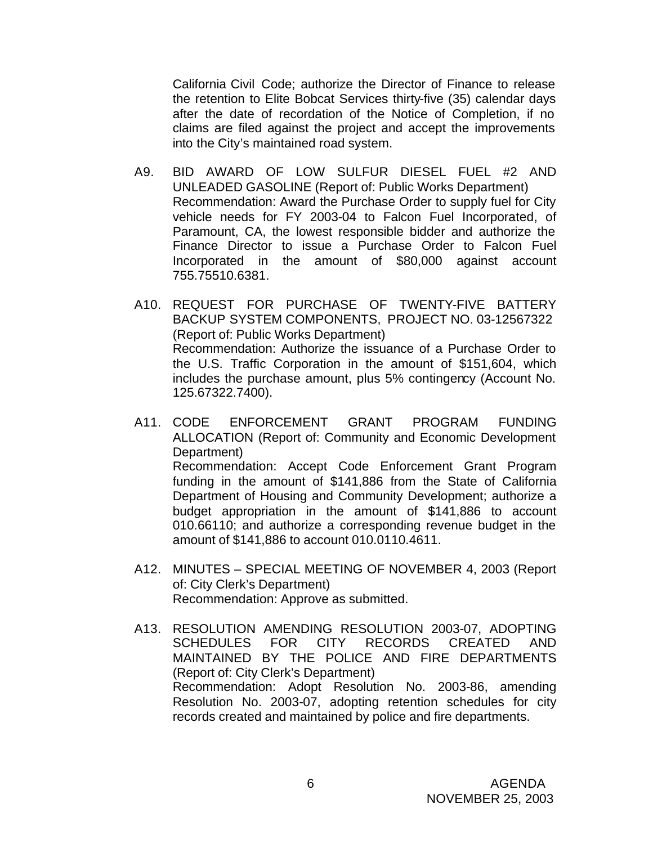California Civil Code; authorize the Director of Finance to release the retention to Elite Bobcat Services thirty-five (35) calendar days after the date of recordation of the Notice of Completion, if no claims are filed against the project and accept the improvements into the City's maintained road system.

- A9. BID AWARD OF LOW SULFUR DIESEL FUEL #2 AND UNLEADED GASOLINE (Report of: Public Works Department) Recommendation: Award the Purchase Order to supply fuel for City vehicle needs for FY 2003-04 to Falcon Fuel Incorporated, of Paramount, CA, the lowest responsible bidder and authorize the Finance Director to issue a Purchase Order to Falcon Fuel Incorporated in the amount of \$80,000 against account 755.75510.6381.
- A10. REQUEST FOR PURCHASE OF TWENTY-FIVE BATTERY BACKUP SYSTEM COMPONENTS, PROJECT NO. 03-12567322 (Report of: Public Works Department) Recommendation: Authorize the issuance of a Purchase Order to the U.S. Traffic Corporation in the amount of \$151,604, which includes the purchase amount, plus 5% contingency (Account No. 125.67322.7400).
- A11. CODE ENFORCEMENT GRANT PROGRAM FUNDING ALLOCATION (Report of: Community and Economic Development Department) Recommendation: Accept Code Enforcement Grant Program funding in the amount of \$141,886 from the State of California Department of Housing and Community Development; authorize a budget appropriation in the amount of \$141,886 to account 010.66110; and authorize a corresponding revenue budget in the amount of \$141,886 to account 010.0110.4611.
- A12. MINUTES SPECIAL MEETING OF NOVEMBER 4, 2003 (Report of: City Clerk's Department) Recommendation: Approve as submitted.
- A13. RESOLUTION AMENDING RESOLUTION 2003-07, ADOPTING SCHEDULES FOR CITY RECORDS CREATED AND MAINTAINED BY THE POLICE AND FIRE DEPARTMENTS (Report of: City Clerk's Department) Recommendation: Adopt Resolution No. 2003-86, amending Resolution No. 2003-07, adopting retention schedules for city records created and maintained by police and fire departments.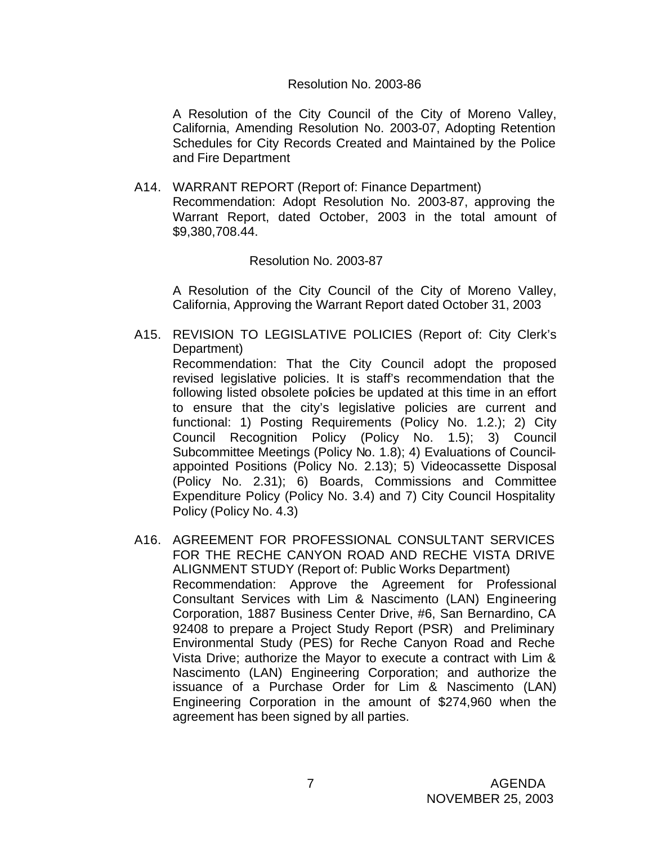#### Resolution No. 2003-86

A Resolution of the City Council of the City of Moreno Valley, California, Amending Resolution No. 2003-07, Adopting Retention Schedules for City Records Created and Maintained by the Police and Fire Department

A14. WARRANT REPORT (Report of: Finance Department) Recommendation: Adopt Resolution No. 2003-87, approving the Warrant Report, dated October, 2003 in the total amount of \$9,380,708.44.

Resolution No. 2003-87

A Resolution of the City Council of the City of Moreno Valley, California, Approving the Warrant Report dated October 31, 2003

A15. REVISION TO LEGISLATIVE POLICIES (Report of: City Clerk's Department)

Recommendation: That the City Council adopt the proposed revised legislative policies. It is staff's recommendation that the following listed obsolete policies be updated at this time in an effort to ensure that the city's legislative policies are current and functional: 1) Posting Requirements (Policy No. 1.2.); 2) City Council Recognition Policy (Policy No. 1.5); 3) Council Subcommittee Meetings (Policy No. 1.8); 4) Evaluations of Councilappointed Positions (Policy No. 2.13); 5) Videocassette Disposal (Policy No. 2.31); 6) Boards, Commissions and Committee Expenditure Policy (Policy No. 3.4) and 7) City Council Hospitality Policy (Policy No. 4.3)

A16. AGREEMENT FOR PROFESSIONAL CONSULTANT SERVICES FOR THE RECHE CANYON ROAD AND RECHE VISTA DRIVE ALIGNMENT STUDY (Report of: Public Works Department) Recommendation: Approve the Agreement for Professional Consultant Services with Lim & Nascimento (LAN) Engineering Corporation, 1887 Business Center Drive, #6, San Bernardino, CA 92408 to prepare a Project Study Report (PSR) and Preliminary Environmental Study (PES) for Reche Canyon Road and Reche Vista Drive; authorize the Mayor to execute a contract with Lim & Nascimento (LAN) Engineering Corporation; and authorize the issuance of a Purchase Order for Lim & Nascimento (LAN) Engineering Corporation in the amount of \$274,960 when the agreement has been signed by all parties.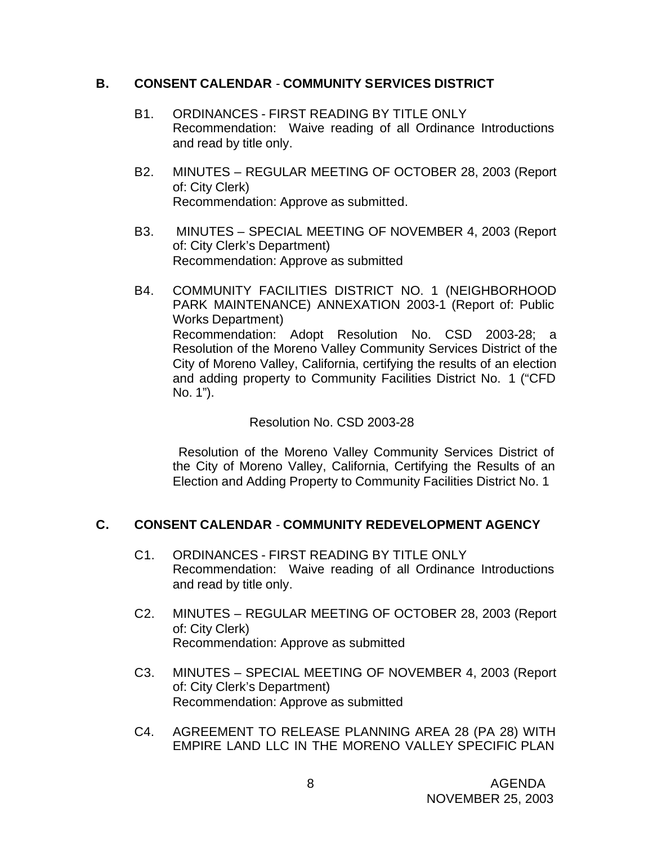### **B. CONSENT CALENDAR** - **COMMUNITY SERVICES DISTRICT**

- B1. ORDINANCES FIRST READING BY TITLE ONLY Recommendation: Waive reading of all Ordinance Introductions and read by title only.
- B2. MINUTES REGULAR MEETING OF OCTOBER 28, 2003 (Report of: City Clerk) Recommendation: Approve as submitted.
- B3. MINUTES SPECIAL MEETING OF NOVEMBER 4, 2003 (Report of: City Clerk's Department) Recommendation: Approve as submitted
- B4. COMMUNITY FACILITIES DISTRICT NO. 1 (NEIGHBORHOOD PARK MAINTENANCE) ANNEXATION 2003-1 (Report of: Public Works Department) Recommendation: Adopt Resolution No. CSD 2003-28; a Resolution of the Moreno Valley Community Services District of the City of Moreno Valley, California, certifying the results of an election and adding property to Community Facilities District No. 1 ("CFD No. 1").

### Resolution No. CSD 2003-28

 Resolution of the Moreno Valley Community Services District of the City of Moreno Valley, California, Certifying the Results of an Election and Adding Property to Community Facilities District No. 1

# **C. CONSENT CALENDAR** - **COMMUNITY REDEVELOPMENT AGENCY**

- C1. ORDINANCES FIRST READING BY TITLE ONLY Recommendation: Waive reading of all Ordinance Introductions and read by title only.
- C2. MINUTES REGULAR MEETING OF OCTOBER 28, 2003 (Report of: City Clerk) Recommendation: Approve as submitted
- C3. MINUTES SPECIAL MEETING OF NOVEMBER 4, 2003 (Report of: City Clerk's Department) Recommendation: Approve as submitted
- C4. AGREEMENT TO RELEASE PLANNING AREA 28 (PA 28) WITH EMPIRE LAND LLC IN THE MORENO VALLEY SPECIFIC PLAN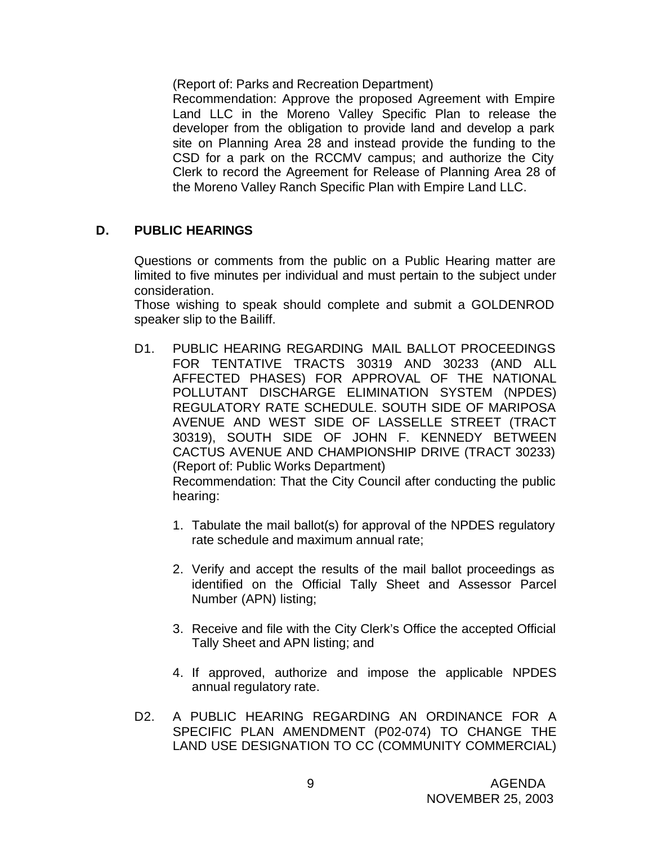(Report of: Parks and Recreation Department)

Recommendation: Approve the proposed Agreement with Empire Land LLC in the Moreno Valley Specific Plan to release the developer from the obligation to provide land and develop a park site on Planning Area 28 and instead provide the funding to the CSD for a park on the RCCMV campus; and authorize the City Clerk to record the Agreement for Release of Planning Area 28 of the Moreno Valley Ranch Specific Plan with Empire Land LLC.

### **D. PUBLIC HEARINGS**

Questions or comments from the public on a Public Hearing matter are limited to five minutes per individual and must pertain to the subject under consideration.

Those wishing to speak should complete and submit a GOLDENROD speaker slip to the Bailiff.

D1. PUBLIC HEARING REGARDING MAIL BALLOT PROCEEDINGS FOR TENTATIVE TRACTS 30319 AND 30233 (AND ALL AFFECTED PHASES) FOR APPROVAL OF THE NATIONAL POLLUTANT DISCHARGE ELIMINATION SYSTEM (NPDES) REGULATORY RATE SCHEDULE. SOUTH SIDE OF MARIPOSA AVENUE AND WEST SIDE OF LASSELLE STREET (TRACT 30319), SOUTH SIDE OF JOHN F. KENNEDY BETWEEN CACTUS AVENUE AND CHAMPIONSHIP DRIVE (TRACT 30233) (Report of: Public Works Department) Recommendation: That the City Council after conducting the public

hearing:

- 1. Tabulate the mail ballot(s) for approval of the NPDES regulatory rate schedule and maximum annual rate;
- 2. Verify and accept the results of the mail ballot proceedings as identified on the Official Tally Sheet and Assessor Parcel Number (APN) listing;
- 3. Receive and file with the City Clerk's Office the accepted Official Tally Sheet and APN listing; and
- 4. If approved, authorize and impose the applicable NPDES annual regulatory rate.
- D2. A PUBLIC HEARING REGARDING AN ORDINANCE FOR A SPECIFIC PLAN AMENDMENT (P02-074) TO CHANGE THE LAND USE DESIGNATION TO CC (COMMUNITY COMMERCIAL)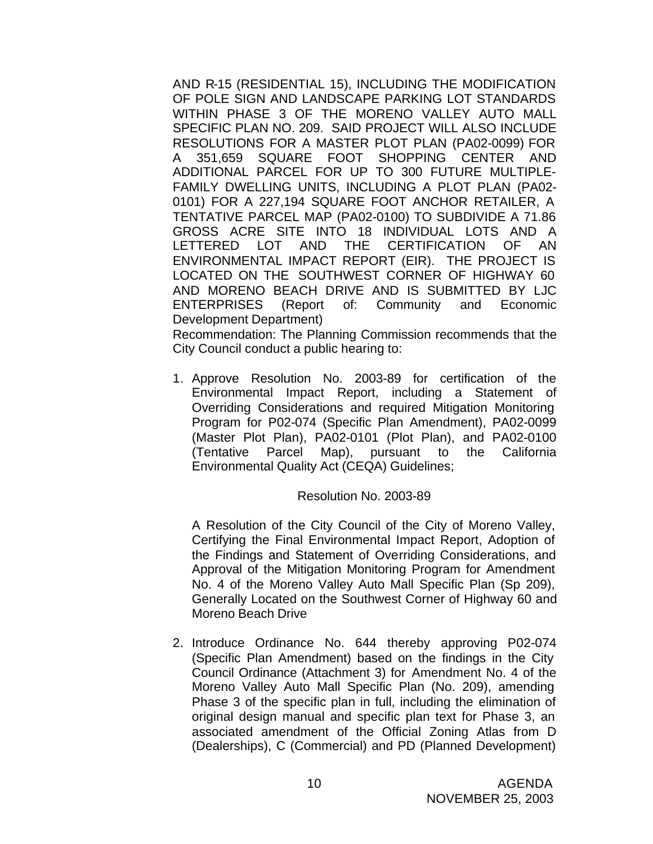AND R-15 (RESIDENTIAL 15), INCLUDING THE MODIFICATION OF POLE SIGN AND LANDSCAPE PARKING LOT STANDARDS WITHIN PHASE 3 OF THE MORENO VALLEY AUTO MALL SPECIFIC PLAN NO. 209. SAID PROJECT WILL ALSO INCLUDE RESOLUTIONS FOR A MASTER PLOT PLAN (PA02-0099) FOR A 351,659 SQUARE FOOT SHOPPING CENTER AND ADDITIONAL PARCEL FOR UP TO 300 FUTURE MULTIPLE-FAMILY DWELLING UNITS, INCLUDING A PLOT PLAN (PA02- 0101) FOR A 227,194 SQUARE FOOT ANCHOR RETAILER, A TENTATIVE PARCEL MAP (PA02-0100) TO SUBDIVIDE A 71.86 GROSS ACRE SITE INTO 18 INDIVIDUAL LOTS AND A LETTERED LOT AND THE CERTIFICATION OF AN ENVIRONMENTAL IMPACT REPORT (EIR). THE PROJECT IS LOCATED ON THE SOUTHWEST CORNER OF HIGHWAY 60 AND MORENO BEACH DRIVE AND IS SUBMITTED BY LJC ENTERPRISES (Report of: Community and Economic Development Department)

Recommendation: The Planning Commission recommends that the City Council conduct a public hearing to:

1. Approve Resolution No. 2003-89 for certification of the Environmental Impact Report, including a Statement of Overriding Considerations and required Mitigation Monitoring Program for P02-074 (Specific Plan Amendment), PA02-0099 (Master Plot Plan), PA02-0101 (Plot Plan), and PA02-0100 (Tentative Parcel Map), pursuant to the California Environmental Quality Act (CEQA) Guidelines;

#### Resolution No. 2003-89

A Resolution of the City Council of the City of Moreno Valley, Certifying the Final Environmental Impact Report, Adoption of the Findings and Statement of Overriding Considerations, and Approval of the Mitigation Monitoring Program for Amendment No. 4 of the Moreno Valley Auto Mall Specific Plan (Sp 209), Generally Located on the Southwest Corner of Highway 60 and Moreno Beach Drive

2. Introduce Ordinance No. 644 thereby approving P02-074 (Specific Plan Amendment) based on the findings in the City Council Ordinance (Attachment 3) for Amendment No. 4 of the Moreno Valley Auto Mall Specific Plan (No. 209), amending Phase 3 of the specific plan in full, including the elimination of original design manual and specific plan text for Phase 3, an associated amendment of the Official Zoning Atlas from D (Dealerships), C (Commercial) and PD (Planned Development)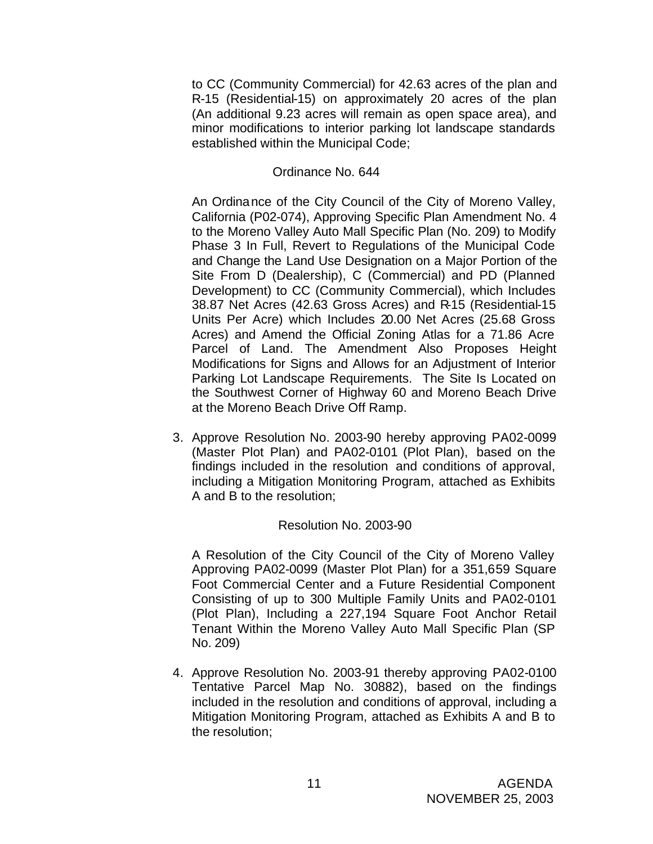to CC (Community Commercial) for 42.63 acres of the plan and R-15 (Residential-15) on approximately 20 acres of the plan (An additional 9.23 acres will remain as open space area), and minor modifications to interior parking lot landscape standards established within the Municipal Code;

### Ordinance No. 644

An Ordinance of the City Council of the City of Moreno Valley, California (P02-074), Approving Specific Plan Amendment No. 4 to the Moreno Valley Auto Mall Specific Plan (No. 209) to Modify Phase 3 In Full, Revert to Regulations of the Municipal Code and Change the Land Use Designation on a Major Portion of the Site From D (Dealership), C (Commercial) and PD (Planned Development) to CC (Community Commercial), which Includes 38.87 Net Acres (42.63 Gross Acres) and R-15 (Residential-15 Units Per Acre) which Includes 20.00 Net Acres (25.68 Gross Acres) and Amend the Official Zoning Atlas for a 71.86 Acre Parcel of Land. The Amendment Also Proposes Height Modifications for Signs and Allows for an Adjustment of Interior Parking Lot Landscape Requirements. The Site Is Located on the Southwest Corner of Highway 60 and Moreno Beach Drive at the Moreno Beach Drive Off Ramp.

3. Approve Resolution No. 2003-90 hereby approving PA02-0099 (Master Plot Plan) and PA02-0101 (Plot Plan), based on the findings included in the resolution and conditions of approval, including a Mitigation Monitoring Program, attached as Exhibits A and B to the resolution;

### Resolution No. 2003-90

A Resolution of the City Council of the City of Moreno Valley Approving PA02-0099 (Master Plot Plan) for a 351,659 Square Foot Commercial Center and a Future Residential Component Consisting of up to 300 Multiple Family Units and PA02-0101 (Plot Plan), Including a 227,194 Square Foot Anchor Retail Tenant Within the Moreno Valley Auto Mall Specific Plan (SP No. 209)

4. Approve Resolution No. 2003-91 thereby approving PA02-0100 Tentative Parcel Map No. 30882), based on the findings included in the resolution and conditions of approval, including a Mitigation Monitoring Program, attached as Exhibits A and B to the resolution;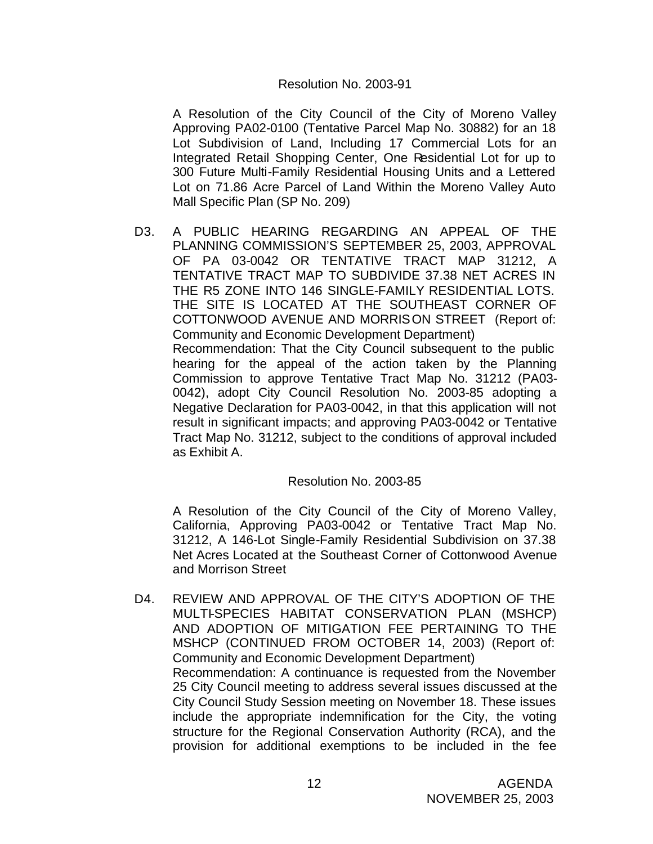#### Resolution No. 2003-91

A Resolution of the City Council of the City of Moreno Valley Approving PA02-0100 (Tentative Parcel Map No. 30882) for an 18 Lot Subdivision of Land, Including 17 Commercial Lots for an Integrated Retail Shopping Center, One Residential Lot for up to 300 Future Multi-Family Residential Housing Units and a Lettered Lot on 71.86 Acre Parcel of Land Within the Moreno Valley Auto Mall Specific Plan (SP No. 209)

D3. A PUBLIC HEARING REGARDING AN APPEAL OF THE PLANNING COMMISSION'S SEPTEMBER 25, 2003, APPROVAL OF PA 03-0042 OR TENTATIVE TRACT MAP 31212, A TENTATIVE TRACT MAP TO SUBDIVIDE 37.38 NET ACRES IN THE R5 ZONE INTO 146 SINGLE-FAMILY RESIDENTIAL LOTS. THE SITE IS LOCATED AT THE SOUTHEAST CORNER OF COTTONWOOD AVENUE AND MORRISON STREET (Report of: Community and Economic Development Department) Recommendation: That the City Council subsequent to the public hearing for the appeal of the action taken by the Planning Commission to approve Tentative Tract Map No. 31212 (PA03- 0042), adopt City Council Resolution No. 2003-85 adopting a Negative Declaration for PA03-0042, in that this application will not result in significant impacts; and approving PA03-0042 or Tentative Tract Map No. 31212, subject to the conditions of approval included as Exhibit A.

### Resolution No. 2003-85

A Resolution of the City Council of the City of Moreno Valley, California, Approving PA03-0042 or Tentative Tract Map No. 31212, A 146-Lot Single-Family Residential Subdivision on 37.38 Net Acres Located at the Southeast Corner of Cottonwood Avenue and Morrison Street

D4. REVIEW AND APPROVAL OF THE CITY'S ADOPTION OF THE MULTI-SPECIES HABITAT CONSERVATION PLAN (MSHCP) AND ADOPTION OF MITIGATION FEE PERTAINING TO THE MSHCP (CONTINUED FROM OCTOBER 14, 2003) (Report of: Community and Economic Development Department) Recommendation: A continuance is requested from the November 25 City Council meeting to address several issues discussed at the City Council Study Session meeting on November 18. These issues include the appropriate indemnification for the City, the voting structure for the Regional Conservation Authority (RCA), and the provision for additional exemptions to be included in the fee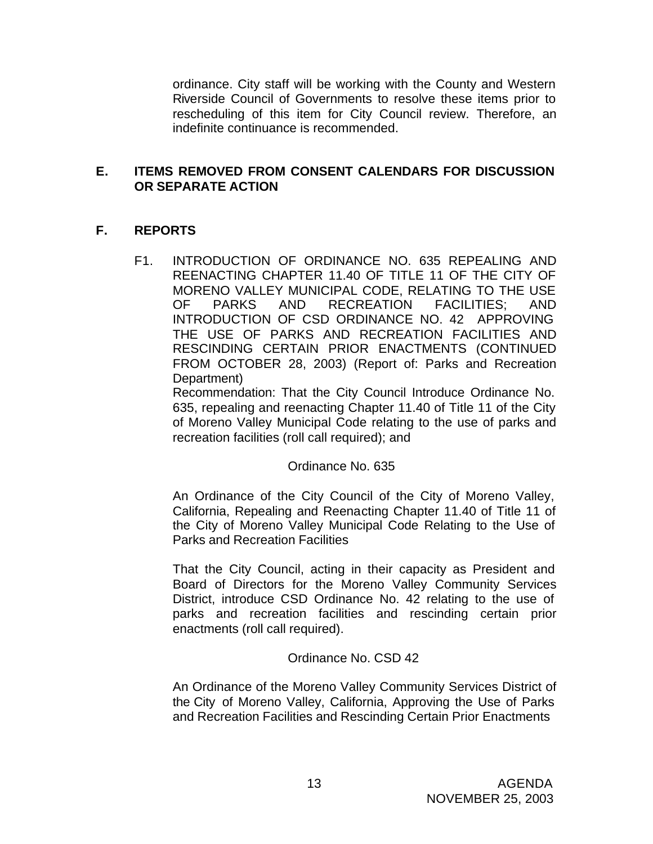ordinance. City staff will be working with the County and Western Riverside Council of Governments to resolve these items prior to rescheduling of this item for City Council review. Therefore, an indefinite continuance is recommended.

## **E. ITEMS REMOVED FROM CONSENT CALENDARS FOR DISCUSSION OR SEPARATE ACTION**

# **F. REPORTS**

F1. INTRODUCTION OF ORDINANCE NO. 635 REPEALING AND REENACTING CHAPTER 11.40 OF TITLE 11 OF THE CITY OF MORENO VALLEY MUNICIPAL CODE, RELATING TO THE USE OF PARKS AND RECREATION FACILITIES; AND INTRODUCTION OF CSD ORDINANCE NO. 42 APPROVING THE USE OF PARKS AND RECREATION FACILITIES AND RESCINDING CERTAIN PRIOR ENACTMENTS (CONTINUED FROM OCTOBER 28, 2003) (Report of: Parks and Recreation Department)

Recommendation: That the City Council Introduce Ordinance No. 635, repealing and reenacting Chapter 11.40 of Title 11 of the City of Moreno Valley Municipal Code relating to the use of parks and recreation facilities (roll call required); and

Ordinance No. 635

An Ordinance of the City Council of the City of Moreno Valley, California, Repealing and Reenacting Chapter 11.40 of Title 11 of the City of Moreno Valley Municipal Code Relating to the Use of Parks and Recreation Facilities

That the City Council, acting in their capacity as President and Board of Directors for the Moreno Valley Community Services District, introduce CSD Ordinance No. 42 relating to the use of parks and recreation facilities and rescinding certain prior enactments (roll call required).

Ordinance No. CSD 42

An Ordinance of the Moreno Valley Community Services District of the City of Moreno Valley, California, Approving the Use of Parks and Recreation Facilities and Rescinding Certain Prior Enactments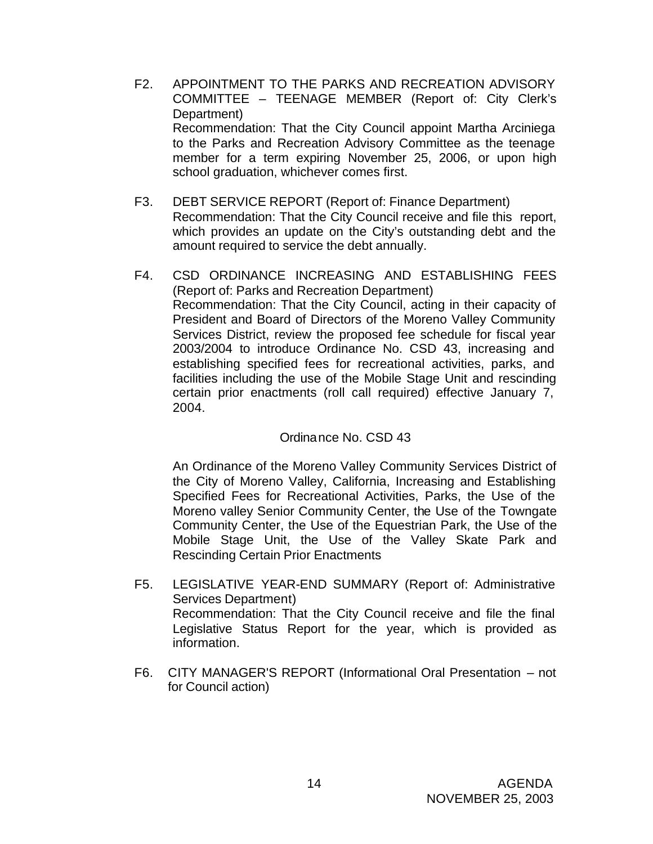- F2. APPOINTMENT TO THE PARKS AND RECREATION ADVISORY COMMITTEE – TEENAGE MEMBER (Report of: City Clerk's Department) Recommendation: That the City Council appoint Martha Arciniega to the Parks and Recreation Advisory Committee as the teenage member for a term expiring November 25, 2006, or upon high school graduation, whichever comes first.
- F3. DEBT SERVICE REPORT (Report of: Finance Department) Recommendation: That the City Council receive and file this report, which provides an update on the City's outstanding debt and the amount required to service the debt annually.
- F4. CSD ORDINANCE INCREASING AND ESTABLISHING FEES (Report of: Parks and Recreation Department) Recommendation: That the City Council, acting in their capacity of President and Board of Directors of the Moreno Valley Community Services District, review the proposed fee schedule for fiscal year 2003/2004 to introduce Ordinance No. CSD 43, increasing and establishing specified fees for recreational activities, parks, and facilities including the use of the Mobile Stage Unit and rescinding certain prior enactments (roll call required) effective January 7, 2004.

### Ordinance No. CSD 43

An Ordinance of the Moreno Valley Community Services District of the City of Moreno Valley, California, Increasing and Establishing Specified Fees for Recreational Activities, Parks, the Use of the Moreno valley Senior Community Center, the Use of the Towngate Community Center, the Use of the Equestrian Park, the Use of the Mobile Stage Unit, the Use of the Valley Skate Park and Rescinding Certain Prior Enactments

- F5. LEGISLATIVE YEAR-END SUMMARY (Report of: Administrative Services Department) Recommendation: That the City Council receive and file the final Legislative Status Report for the year, which is provided as information.
- F6. CITY MANAGER'S REPORT (Informational Oral Presentation not for Council action)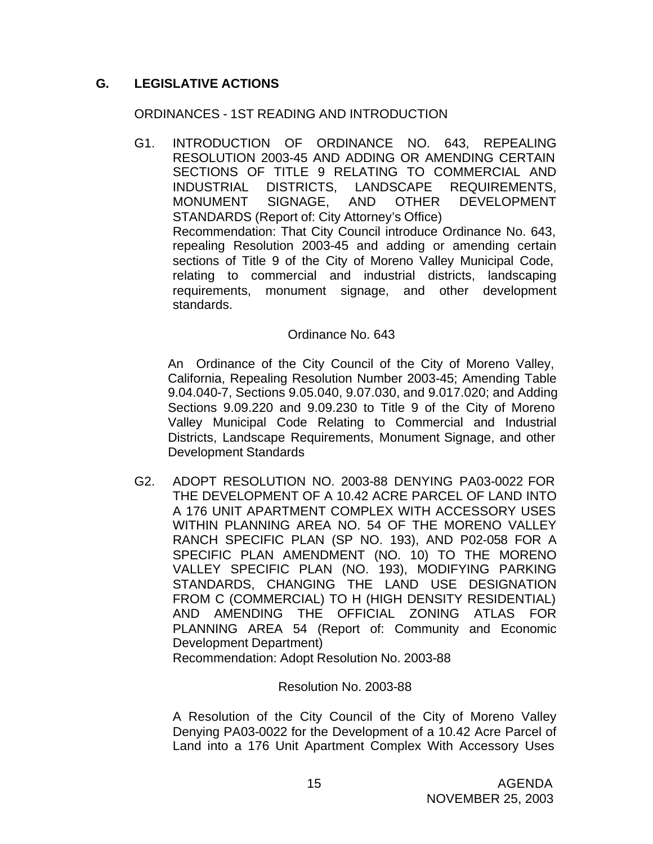# **G. LEGISLATIVE ACTIONS**

### ORDINANCES - 1ST READING AND INTRODUCTION

G1. INTRODUCTION OF ORDINANCE NO. 643, REPEALING RESOLUTION 2003-45 AND ADDING OR AMENDING CERTAIN SECTIONS OF TITLE 9 RELATING TO COMMERCIAL AND INDUSTRIAL DISTRICTS, LANDSCAPE REQUIREMENTS, MONUMENT SIGNAGE, AND OTHER DEVELOPMENT STANDARDS (Report of: City Attorney's Office) Recommendation: That City Council introduce Ordinance No. 643, repealing Resolution 2003-45 and adding or amending certain sections of Title 9 of the City of Moreno Valley Municipal Code, relating to commercial and industrial districts, landscaping requirements, monument signage, and other development standards.

### Ordinance No. 643

An Ordinance of the City Council of the City of Moreno Valley, California, Repealing Resolution Number 2003-45; Amending Table 9.04.040-7, Sections 9.05.040, 9.07.030, and 9.017.020; and Adding Sections 9.09.220 and 9.09.230 to Title 9 of the City of Moreno Valley Municipal Code Relating to Commercial and Industrial Districts, Landscape Requirements, Monument Signage, and other Development Standards

G2. ADOPT RESOLUTION NO. 2003-88 DENYING PA03-0022 FOR THE DEVELOPMENT OF A 10.42 ACRE PARCEL OF LAND INTO A 176 UNIT APARTMENT COMPLEX WITH ACCESSORY USES WITHIN PLANNING AREA NO. 54 OF THE MORENO VALLEY RANCH SPECIFIC PLAN (SP NO. 193), AND P02-058 FOR A SPECIFIC PLAN AMENDMENT (NO. 10) TO THE MORENO VALLEY SPECIFIC PLAN (NO. 193), MODIFYING PARKING STANDARDS, CHANGING THE LAND USE DESIGNATION FROM C (COMMERCIAL) TO H (HIGH DENSITY RESIDENTIAL) AND AMENDING THE OFFICIAL ZONING ATLAS FOR PLANNING AREA 54 (Report of: Community and Economic Development Department)

Recommendation: Adopt Resolution No. 2003-88

### Resolution No. 2003-88

A Resolution of the City Council of the City of Moreno Valley Denying PA03-0022 for the Development of a 10.42 Acre Parcel of Land into a 176 Unit Apartment Complex With Accessory Uses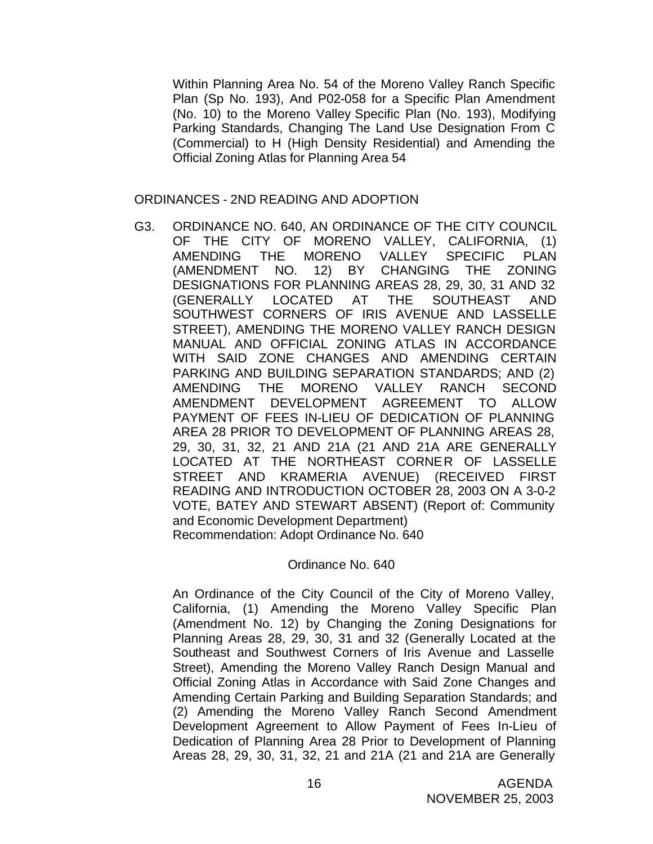Within Planning Area No. 54 of the Moreno Valley Ranch Specific Plan (Sp No. 193), And P02-058 for a Specific Plan Amendment (No. 10) to the Moreno Valley Specific Plan (No. 193), Modifying Parking Standards, Changing The Land Use Designation From C (Commercial) to H (High Density Residential) and Amending the Official Zoning Atlas for Planning Area 54

#### ORDINANCES - 2ND READING AND ADOPTION

G3. ORDINANCE NO. 640, AN ORDINANCE OF THE CITY COUNCIL OF THE CITY OF MORENO VALLEY, CALIFORNIA, (1) AMENDING THE MORENO VALLEY SPECIFIC PLAN (AMENDMENT NO. 12) BY CHANGING THE ZONING DESIGNATIONS FOR PLANNING AREAS 28, 29, 30, 31 AND 32 (GENERALLY LOCATED AT THE SOUTHEAST AND SOUTHWEST CORNERS OF IRIS AVENUE AND LASSELLE STREET), AMENDING THE MORENO VALLEY RANCH DESIGN MANUAL AND OFFICIAL ZONING ATLAS IN ACCORDANCE WITH SAID ZONE CHANGES AND AMENDING CERTAIN PARKING AND BUILDING SEPARATION STANDARDS; AND (2) AMENDING THE MORENO VALLEY RANCH SECOND AMENDMENT DEVELOPMENT AGREEMENT TO ALLOW PAYMENT OF FEES IN-LIEU OF DEDICATION OF PLANNING AREA 28 PRIOR TO DEVELOPMENT OF PLANNING AREAS 28, 29, 30, 31, 32, 21 AND 21A (21 AND 21A ARE GENERALLY LOCATED AT THE NORTHEAST CORNER OF LASSELLE STREET AND KRAMERIA AVENUE) (RECEIVED FIRST READING AND INTRODUCTION OCTOBER 28, 2003 ON A 3-0-2 VOTE, BATEY AND STEWART ABSENT) (Report of: Community and Economic Development Department) Recommendation: Adopt Ordinance No. 640

#### Ordinance No. 640

An Ordinance of the City Council of the City of Moreno Valley, California, (1) Amending the Moreno Valley Specific Plan (Amendment No. 12) by Changing the Zoning Designations for Planning Areas 28, 29, 30, 31 and 32 (Generally Located at the Southeast and Southwest Corners of Iris Avenue and Lasselle Street), Amending the Moreno Valley Ranch Design Manual and Official Zoning Atlas in Accordance with Said Zone Changes and Amending Certain Parking and Building Separation Standards; and (2) Amending the Moreno Valley Ranch Second Amendment Development Agreement to Allow Payment of Fees In-Lieu of Dedication of Planning Area 28 Prior to Development of Planning Areas 28, 29, 30, 31, 32, 21 and 21A (21 and 21A are Generally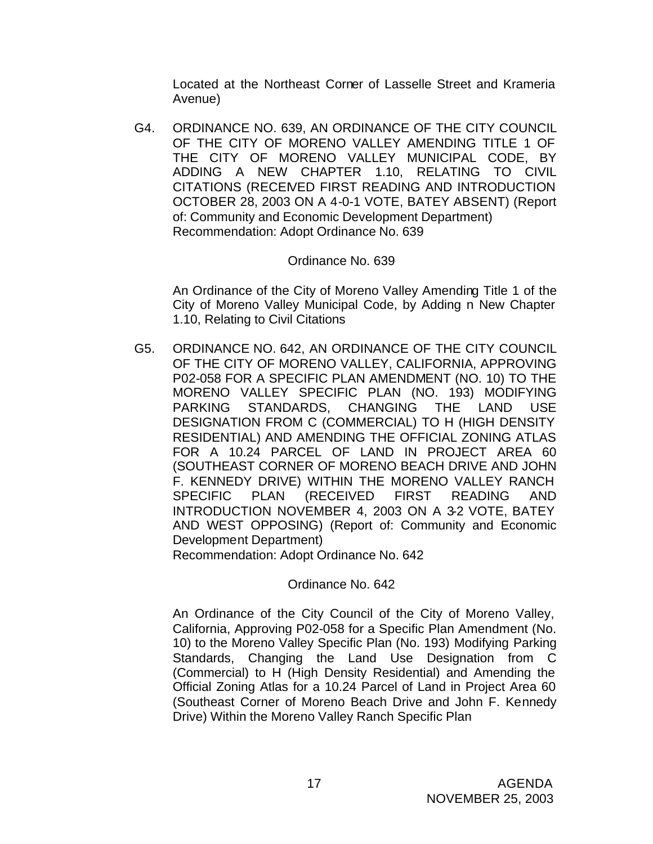Located at the Northeast Corner of Lasselle Street and Krameria Avenue)

G4. ORDINANCE NO. 639, AN ORDINANCE OF THE CITY COUNCIL OF THE CITY OF MORENO VALLEY AMENDING TITLE 1 OF THE CITY OF MORENO VALLEY MUNICIPAL CODE, BY ADDING A NEW CHAPTER 1.10, RELATING TO CIVIL CITATIONS (RECEIVED FIRST READING AND INTRODUCTION OCTOBER 28, 2003 ON A 4-0-1 VOTE, BATEY ABSENT) (Report of: Community and Economic Development Department) Recommendation: Adopt Ordinance No. 639

### Ordinance No. 639

An Ordinance of the City of Moreno Valley Amending Title 1 of the City of Moreno Valley Municipal Code, by Adding n New Chapter 1.10, Relating to Civil Citations

G5. ORDINANCE NO. 642, AN ORDINANCE OF THE CITY COUNCIL OF THE CITY OF MORENO VALLEY, CALIFORNIA, APPROVING P02-058 FOR A SPECIFIC PLAN AMENDMENT (NO. 10) TO THE MORENO VALLEY SPECIFIC PLAN (NO. 193) MODIFYING PARKING STANDARDS, CHANGING THE LAND USE DESIGNATION FROM C (COMMERCIAL) TO H (HIGH DENSITY RESIDENTIAL) AND AMENDING THE OFFICIAL ZONING ATLAS FOR A 10.24 PARCEL OF LAND IN PROJECT AREA 60 (SOUTHEAST CORNER OF MORENO BEACH DRIVE AND JOHN F. KENNEDY DRIVE) WITHIN THE MORENO VALLEY RANCH SPECIFIC PLAN (RECEIVED FIRST READING AND INTRODUCTION NOVEMBER 4, 2003 ON A 3-2 VOTE, BATEY AND WEST OPPOSING) (Report of: Community and Economic Development Department)

Recommendation: Adopt Ordinance No. 642

Ordinance No. 642

An Ordinance of the City Council of the City of Moreno Valley, California, Approving P02-058 for a Specific Plan Amendment (No. 10) to the Moreno Valley Specific Plan (No. 193) Modifying Parking Standards, Changing the Land Use Designation from C (Commercial) to H (High Density Residential) and Amending the Official Zoning Atlas for a 10.24 Parcel of Land in Project Area 60 (Southeast Corner of Moreno Beach Drive and John F. Kennedy Drive) Within the Moreno Valley Ranch Specific Plan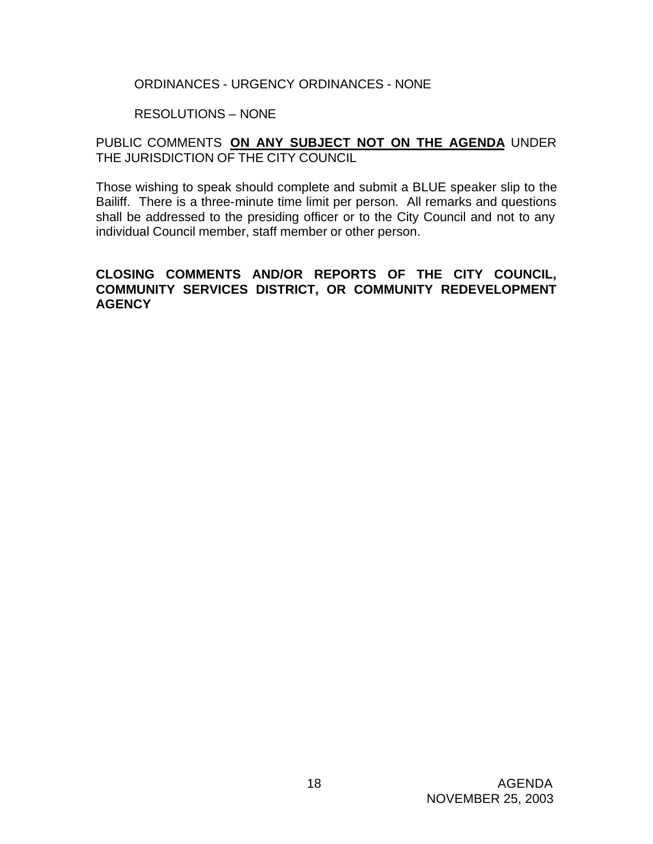#### ORDINANCES - URGENCY ORDINANCES - NONE

#### RESOLUTIONS – NONE

## PUBLIC COMMENTS **ON ANY SUBJECT NOT ON THE AGENDA** UNDER THE JURISDICTION OF THE CITY COUNCIL

Those wishing to speak should complete and submit a BLUE speaker slip to the Bailiff. There is a three-minute time limit per person. All remarks and questions shall be addressed to the presiding officer or to the City Council and not to any individual Council member, staff member or other person.

### **CLOSING COMMENTS AND/OR REPORTS OF THE CITY COUNCIL, COMMUNITY SERVICES DISTRICT, OR COMMUNITY REDEVELOPMENT AGENCY**